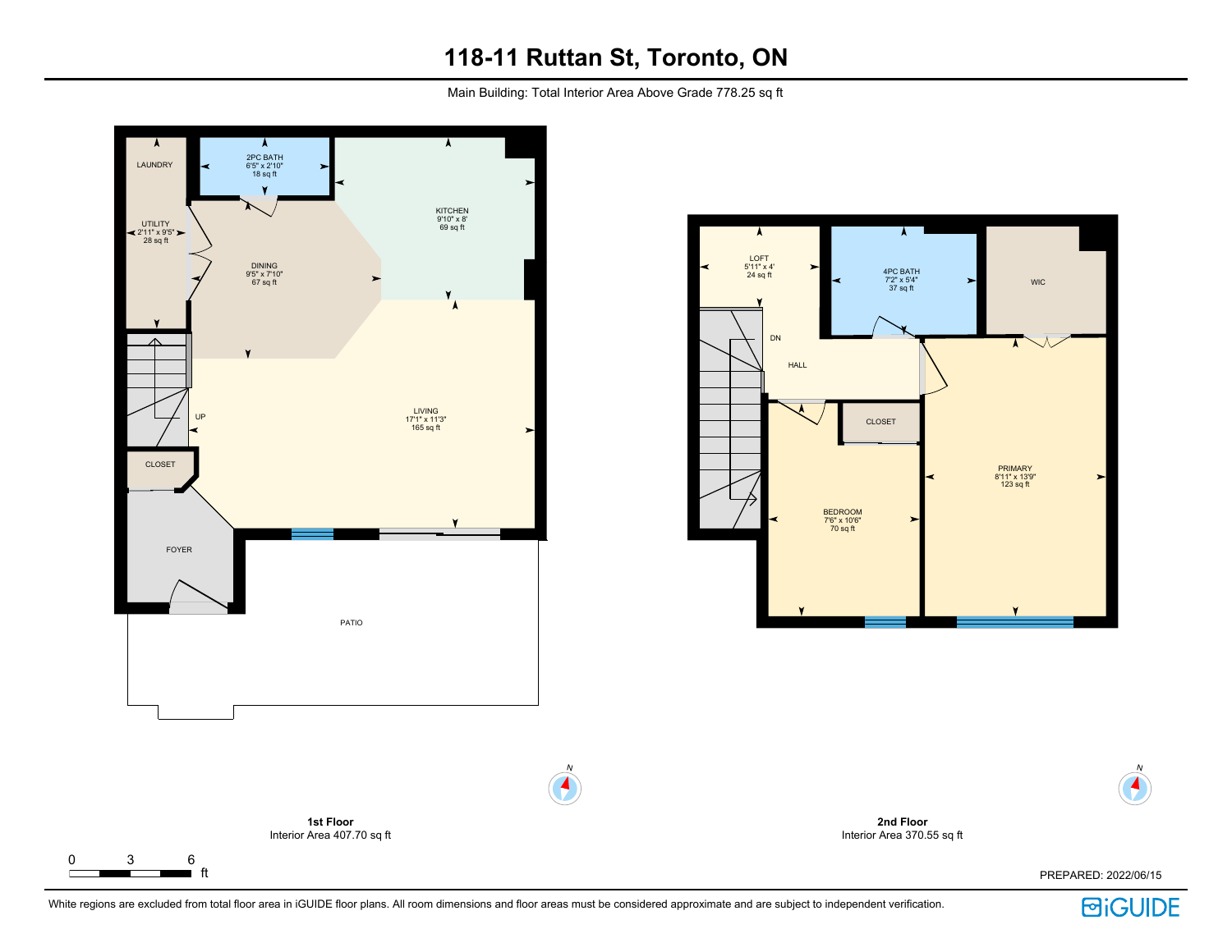Main Building: Total Interior Area Above Grade 778.25 sq ft





**2nd Floor**

ft PREPARED: 2022/06/15



N

 $\blacktriangleleft$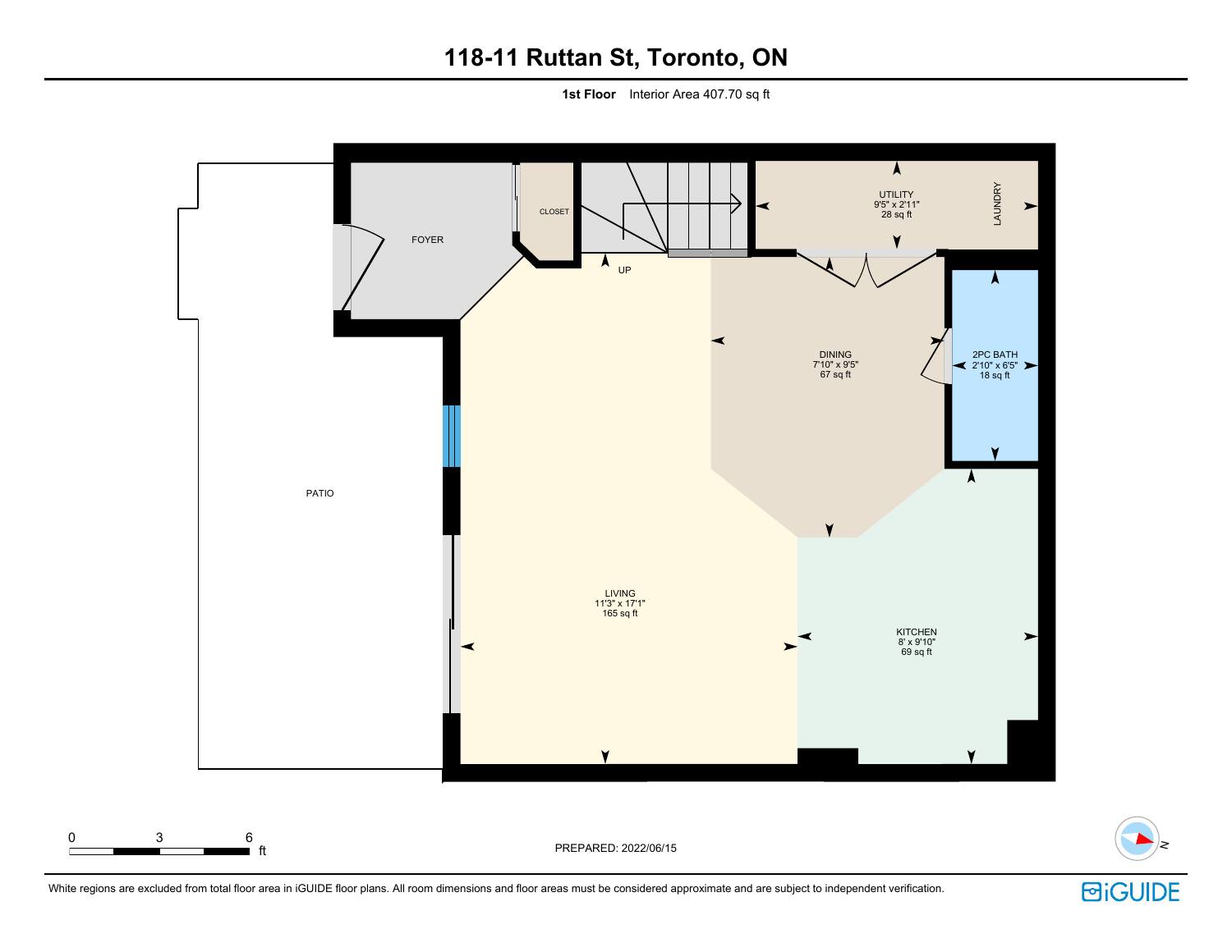**1st Floor** Interior Area 407.70 sq ft



White regions are excluded from total floor area in iGUIDE floor plans. All room dimensions and floor areas must be considered approximate and are subject to independent verification.



N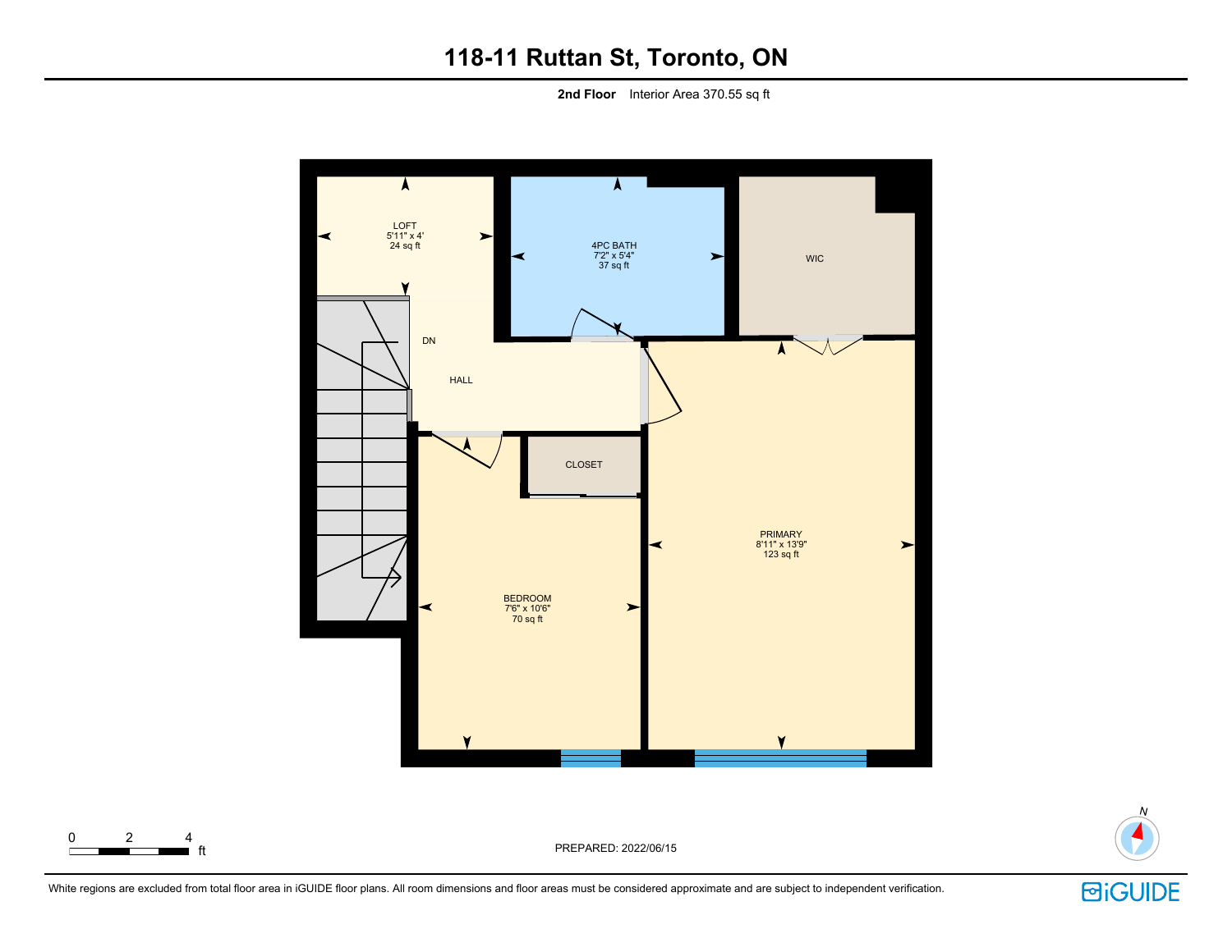**2nd Floor** Interior Area 370.55 sq ft





ft PREPARED: 2022/06/15

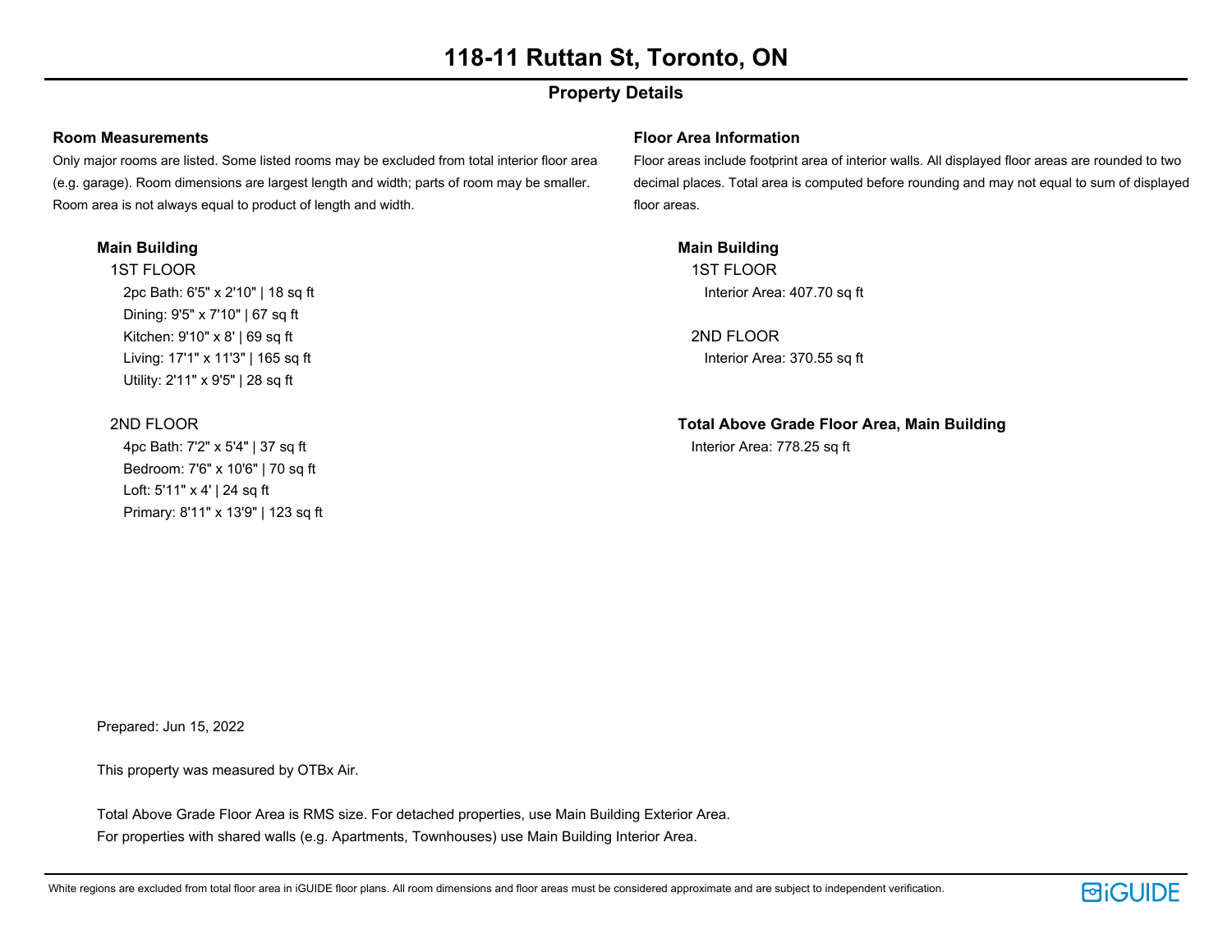## **Property Details**

### **Room Measurements**

Only major rooms are listed. Some listed rooms may be excluded from total interior floor area (e.g. garage). Room dimensions are largest length and width; parts of room may be smaller. Room area is not always equal to product of length and width.

### **Main Building**

1ST FLOOR 2pc Bath: 6'5" x 2'10" | 18 sq ft Dining: 9'5" x 7'10" | 67 sq ft Kitchen: 9'10" x 8' | 69 sq ft Living: 17'1" x 11'3" | 165 sq ft Utility: 2'11" x 9'5" | 28 sq ft

### 2ND FLOOR

4pc Bath: 7'2" x 5'4" | 37 sq ft Bedroom: 7'6" x 10'6" | 70 sq ft Loft: 5'11" x 4' | 24 sq ft Primary: 8'11" x 13'9" | 123 sq ft

### **Floor Area Information**

Floor areas include footprint area of interior walls. All displayed floor areas are rounded to two decimal places. Total area is computed before rounding and may not equal to sum of displayed floor areas.

**Main Building** 1ST FLOOR Interior Area: 407.70 sq ft

2ND FLOOR Interior Area: 370.55 sq ft

**Total Above Grade Floor Area, Main Building** Interior Area: 778.25 sq ft

Prepared: Jun 15, 2022

This property was measured by OTBx Air.

Total Above Grade Floor Area is RMS size. For detached properties, use Main Building Exterior Area. For properties with shared walls (e.g. Apartments, Townhouses) use Main Building Interior Area.

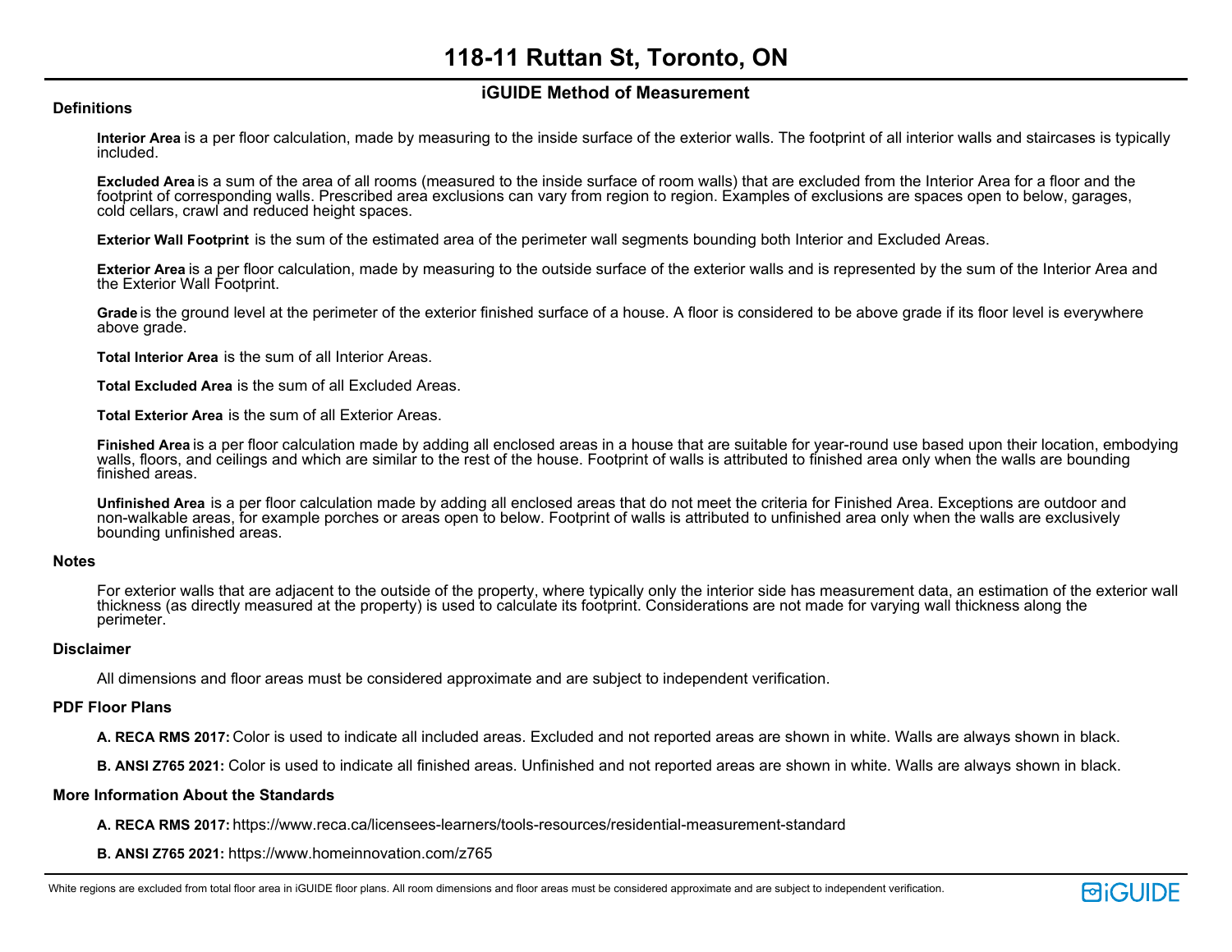### **iGUIDE Method of Measurement**

### **Definitions**

**Interior Area** is a per floor calculation, made by measuring to the inside surface of the exterior walls. The footprint of all interior walls and staircases is typically included.

**Excluded Area** is a sum of the area of all rooms (measured to the inside surface of room walls) that are excluded from the Interior Area for a floor and the footprint of corresponding walls. Prescribed area exclusions can vary from region to region. Examples of exclusions are spaces open to below, garages, cold cellars, crawl and reduced height spaces.

**Exterior Wall Footprint** is the sum of the estimated area of the perimeter wall segments bounding both Interior and Excluded Areas.

**Exterior Area** is a per floor calculation, made by measuring to the outside surface of the exterior walls and is represented by the sum of the Interior Area and the Exterior Wall Footprint.

**Grade** is the ground level at the perimeter of the exterior finished surface of a house. A floor is considered to be above grade if its floor level is everywhere above grade.

**Total Interior Area** is the sum of all Interior Areas.

**Total Excluded Area** is the sum of all Excluded Areas.

**Total Exterior Area** is the sum of all Exterior Areas.

**Finished Area** is a per floor calculation made by adding all enclosed areas in a house that are suitable for year-round use based upon their location, embodying walls, floors, and ceilings and which are similar to the rest of the house. Footprint of walls is attributed to finished area only when the walls are bounding finished areas.

**Unfinished Area** is a per floor calculation made by adding all enclosed areas that do not meet the criteria for Finished Area. Exceptions are outdoor and non-walkable areas, for example porches or areas open to below. Footprint of walls is attributed to unfinished area only when the walls are exclusively bounding unfinished areas.

### **Notes**

For exterior walls that are adjacent to the outside of the property, where typically only the interior side has measurement data, an estimation of the exterior wall thickness (as directly measured at the property) is used to calculate its footprint. Considerations are not made for varying wall thickness along the perimeter.

### **Disclaimer**

All dimensions and floor areas must be considered approximate and are subject to independent verification.

### **PDF Floor Plans**

**A. RECA RMS 2017:** Color is used to indicate all included areas. Excluded and not reported areas are shown in white. Walls are always shown in black.

**B. ANSI Z765 2021:** Color is used to indicate all finished areas. Unfinished and not reported areas are shown in white. Walls are always shown in black.

### **More Information About the Standards**

**A. RECA RMS 2017:** https://www.reca.ca/licensees-learners/tools-resources/residential-measurement-standard

**B. ANSI Z765 2021:** https://www.homeinnovation.com/z765

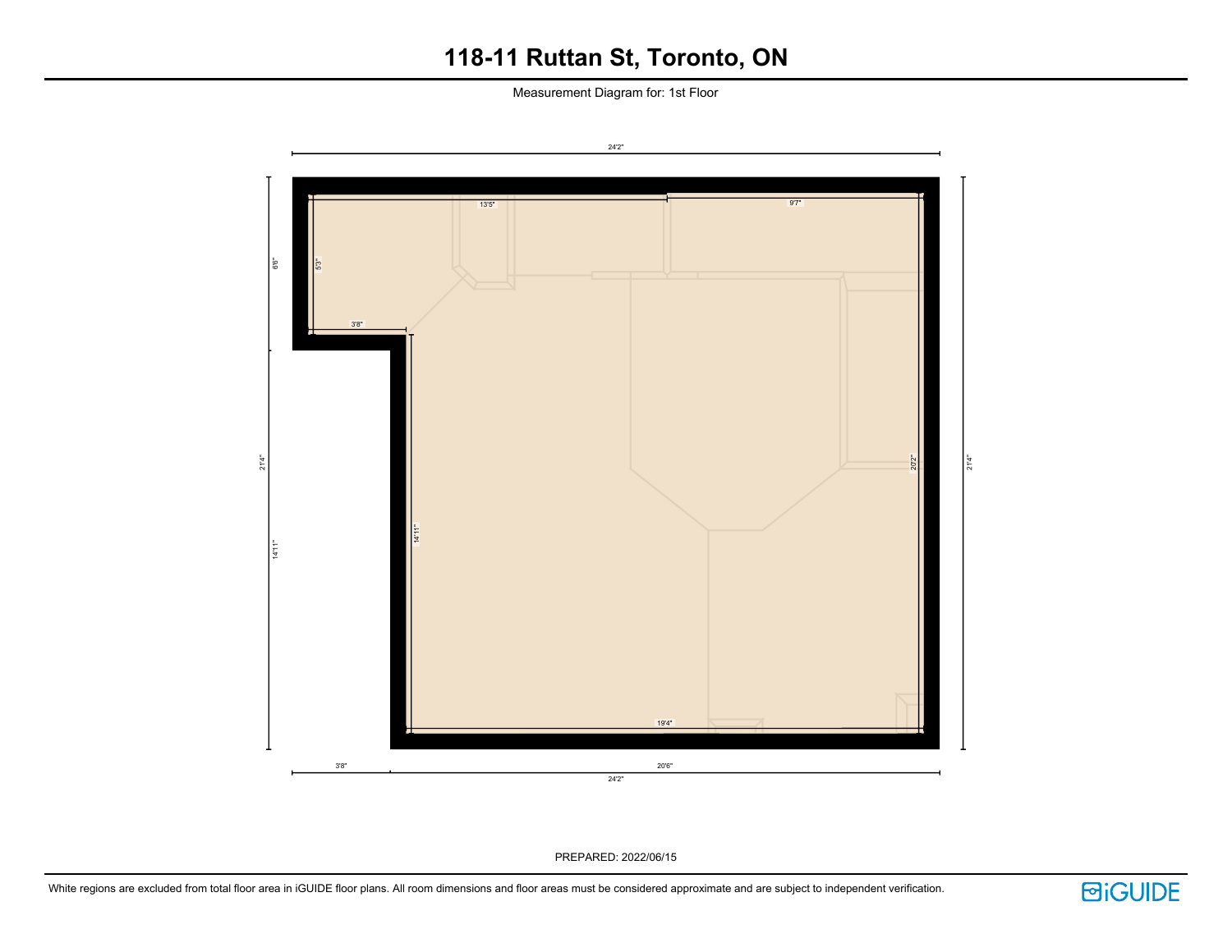Measurement Diagram for: 1st Floor



PREPARED: 2022/06/15